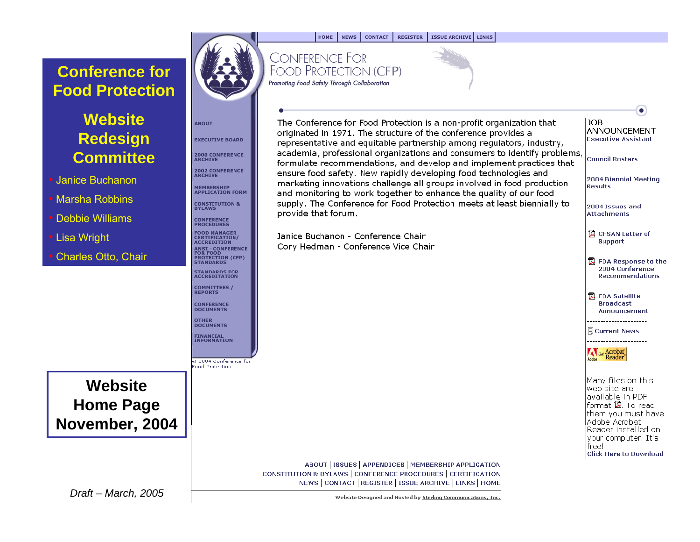## **Conference for Food Protection**

## **Website Redesign Committee**

- Janice Buchanon
- Marsha Robbins
- Debbie Williams
- Lisa Wright
- Charles Otto, Chair



**ABOUT** 

**EXECUTIVE BOARD** 

**2000 CONFERENCE**<br>ARCHIVE

**2002 CONFERENCE**<br>ARCHIVE

MEMBERSHIP<br>APPLICATION FORM

**CONSTITUTION &**<br>BYLAWS

**CERTIFICATION/** 

**STANDARDS FOR**<br>ACCREDITATION

**COMMITTEES /**<br>REPORTS

**CONFERENCE DOCUMENTS** 

**FINANCIAL<br>INFORMATION** 

2004 Conference for ood Protection

**OTHER DOCUMENTS** 

**ANSI - CONFERENCE** FOR FOOD<br>PROTECTION (CFP)<br>STANDARDS

**CONFERENCE PROCEDURES FOOD MANAGER** 

**ACCREDITION** 

# **CONFERENCE FOR**

**CONTACT** 

**REGISTER** 

ISSUE ARCHIVE | LINKS

 $\bullet$ 

**Broadcast** 

**Ecurrent News** 

Many files on this web site are available in PDF format <sub>图</sub>. To read them you must have Adobe Acrobat Reader installed on: your computer. It's

**Click Here to Download** 

Get Acrobat Reader

free!

Announcement

**NEWS** 

**FOOD PROTECTION (CFP)** Promoting Food Safety Through Collaboration

**HOME** 



ABOUT | ISSUES | APPENDICES | MEMBERSHIP APPLICATION CONSTITUTION & BYLAWS | CONFERENCE PROCEDURES | CERTIFICATION NEWS | CONTACT | REGISTER | ISSUE ARCHIVE | LINKS | HOME

*Draft – March, 2005* Note – Some and Hosted by Sterling Communications, Inc.

**Website** 

**Home Page** 

**November, 2004**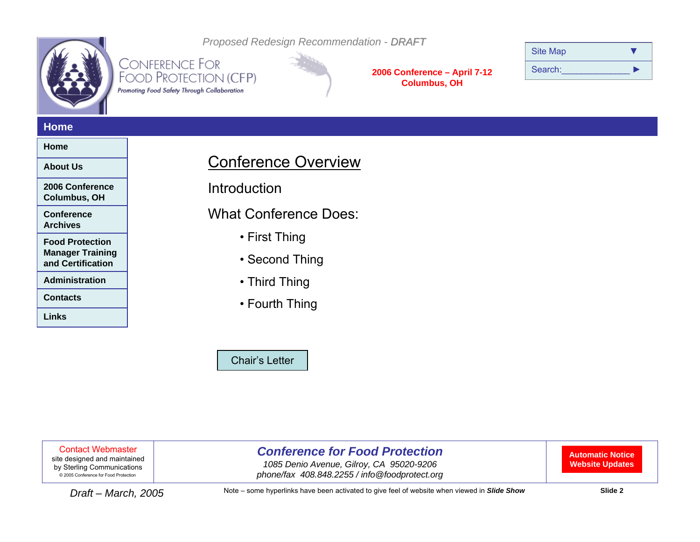<span id="page-1-0"></span>

**CONFERENCE FOR** FOOD PROTECTION (CFP) Promoting Food Safety Through Collaboration

**2006 Conference – April 7-12 Columbus, OH**

| <b>Site Map</b> |  |
|-----------------|--|
| Search:         |  |

#### **Home**

#### **Home**

**About Us**

**2006 Conference Columbus, OH**

**Conference Archives**

**Food Protection Manager Training and Certification**

**Administration**

**Contacts**

**Links**

## Conference Overview

*Proposed Redesign Recommendation - DRAFT*

**Introduction** 

What Conference Does:

- First Thing
- Second Thing
- Third Thing
- Fourth Thing

[Chair's Letter](#page-12-0)

Contact Webmaster

site designed and maintained by Sterling Communications © 2005 Conference for Food Protection

## *Conference for Food Protection*

*1085 Denio Avenue, Gilroy, CA 95020-9206*  2005 Conference for Food Protection *phone/fax 408.848.2255 / info@foodprotect.org*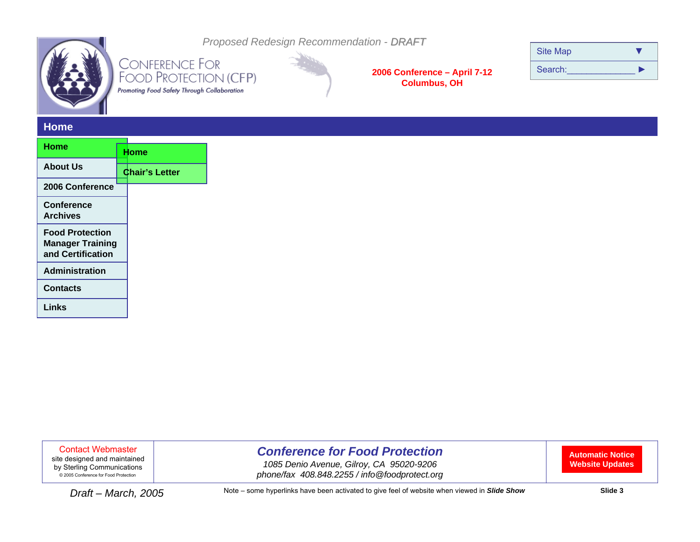

Promoting Food Safety Through Collaboration

*Proposed Redesign Recommendation - DRAFT*

**2006 Conference – April 7-12 Columbus, OH**

| <b>Site Map</b> |  |
|-----------------|--|
| Search:         |  |

#### **Home**

| Home                                                                   |  |                       |
|------------------------------------------------------------------------|--|-----------------------|
|                                                                        |  | Home                  |
| <b>About Us</b>                                                        |  | <b>Chair's Letter</b> |
| 2006 Conference                                                        |  |                       |
| Conference<br><b>Archives</b>                                          |  |                       |
| <b>Food Protection</b><br><b>Manager Training</b><br>and Certification |  |                       |
| <b>Administration</b>                                                  |  |                       |
| <b>Contacts</b>                                                        |  |                       |
| Links                                                                  |  |                       |

Contact Webmaster

site designed and maintained by Sterling Communications © 2005 Conference for Food Protection

## *Conference for Food Protection*

*1085 Denio Avenue, Gilroy, CA 95020-9206*  2005 Conference for Food Protection *phone/fax 408.848.2255 / info@foodprotect.org*

**Automatic Notice Website Updates**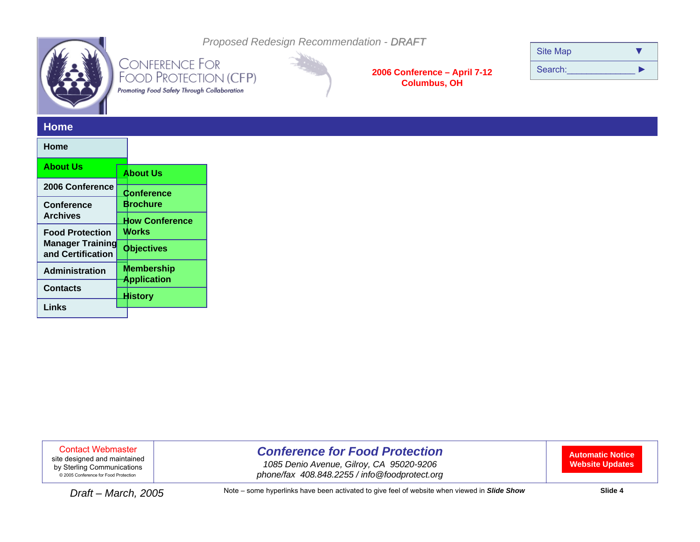

Promoting Food Safety Through Collaboration

*Proposed Redesign Recommendation - DRAFT*

**2006 Conference – April 7-12 Columbus, OH**

| <b>Site Map</b> |  |
|-----------------|--|
| Search:         |  |

#### **Home**

#### **HomeAbout Us2006 ConferenceConference ArchivesFood Protection Manager Training and CertificationAdministrationContactsLinksAbout UsConference BrochureHow Conference WorksObjectives Membership Application History**

Contact Webmaster

site designed and maintained by Sterling Communications © 2005 Conference for Food Protection

## *Conference for Food Protection*

*1085 Denio Avenue, Gilroy, CA 95020-9206*  2005 Conference for Food Protection *phone/fax 408.848.2255 / info@foodprotect.org*

**Automatic Notice Website Updates**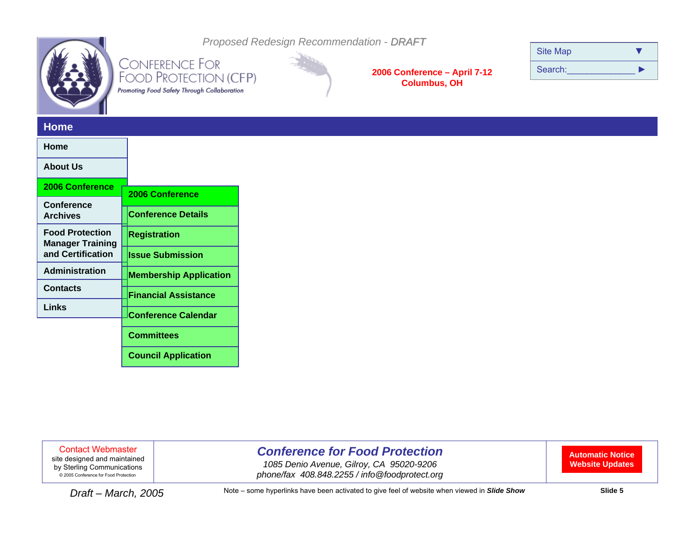

Promoting Food Safety Through Collaboration

*Proposed Redesign Recommendation - DRAFT*

**2006 Conference – April 7-12 Columbus, OH**

| <b>Site Map</b> |  |
|-----------------|--|
| Search:         |  |

#### **Home**

| 2006 Conference               |  |
|-------------------------------|--|
|                               |  |
| <b>Conference Details</b>     |  |
| <b>Registration</b>           |  |
| <b>Issue Submission</b>       |  |
| <b>Membership Application</b> |  |
| <b>Financial Assistance</b>   |  |
| <b>Conference Calendar</b>    |  |
|                               |  |
| <b>Committees</b>             |  |
| <b>Council Application</b>    |  |
|                               |  |

Contact Webmaster

site designed and maintained by Sterling Communications © 2005 Conference for Food Protection

## *Conference for Food Protection*

*1085 Denio Avenue, Gilroy, CA 95020-9206*  2005 Conference for Food Protection *phone/fax 408.848.2255 / info@foodprotect.org*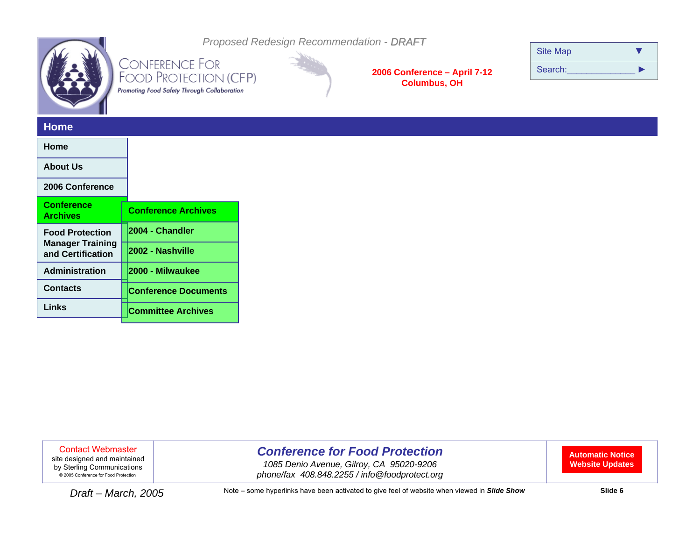

Promoting Food Safety Through Collaboration

*Proposed Redesign Recommendation - DRAFT*

**2006 Conference – April 7-12 Columbus, OH**

| <b>Site Map</b> |  |
|-----------------|--|
| Search:         |  |

#### **Home**

| Home                                                                   |                             |
|------------------------------------------------------------------------|-----------------------------|
| <b>About Us</b>                                                        |                             |
| 2006 Conference                                                        |                             |
| <b>Conference</b><br><b>Archives</b>                                   | <b>Conference Archives</b>  |
| <b>Food Protection</b><br><b>Manager Training</b><br>and Certification | 2004 - Chandler             |
|                                                                        | 2002 - Nashville            |
| <b>Administration</b>                                                  | 2000 - Milwaukee            |
| <b>Contacts</b>                                                        | <b>Conference Documents</b> |
| Links                                                                  | <b>Committee Archives</b>   |
|                                                                        |                             |

Contact Webmaster

site designed and maintained by Sterling Communications © 2005 Conference for Food Protection

## *Conference for Food Protection*

*1085 Denio Avenue, Gilroy, CA 95020-9206*  2005 Conference for Food Protection *phone/fax 408.848.2255 / info@foodprotect.org*

**Automatic Notice Website Updates**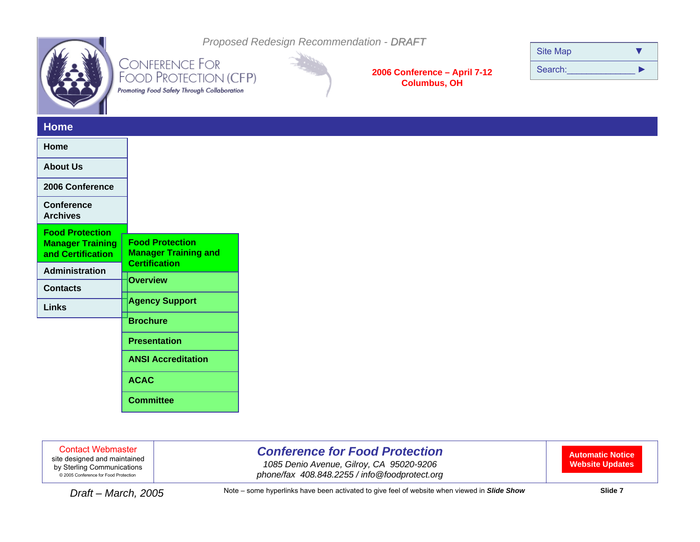

Promoting Food Safety Through Collaboration



*Proposed Redesign Recommendation - DRAFT*

**2006 Conference – April 7-12 Columbus, OH**

| <b>Site Map</b> |  |
|-----------------|--|
| Search:         |  |

#### **Home**

| Home                                         |                                                       |
|----------------------------------------------|-------------------------------------------------------|
| <b>About Us</b>                              |                                                       |
| 2006 Conference                              |                                                       |
| <b>Conference</b><br><b>Archives</b>         |                                                       |
| <b>Food Protection</b>                       |                                                       |
| <b>Manager Training</b><br>and Certification | <b>Food Protection</b><br><b>Manager Training and</b> |
| <b>Administration</b>                        | <b>Certification</b>                                  |
| <b>Contacts</b>                              | <b>Overview</b>                                       |
| Links                                        | <b>Agency Support</b>                                 |
|                                              | <b>Brochure</b>                                       |
|                                              | <b>Presentation</b>                                   |
|                                              | <b>ANSI Accreditation</b>                             |
|                                              | <b>ACAC</b>                                           |
|                                              | <b>Committee</b>                                      |

Contact Webmaster

site designed and maintained by Sterling Communications © 2005 Conference for Food Protection

## *Conference for Food Protection*

*1085 Denio Avenue, Gilroy, CA 95020-9206*  2005 Conference for Food Protection *phone/fax 408.848.2255 / info@foodprotect.org*

**Automatic Notice Website Updates**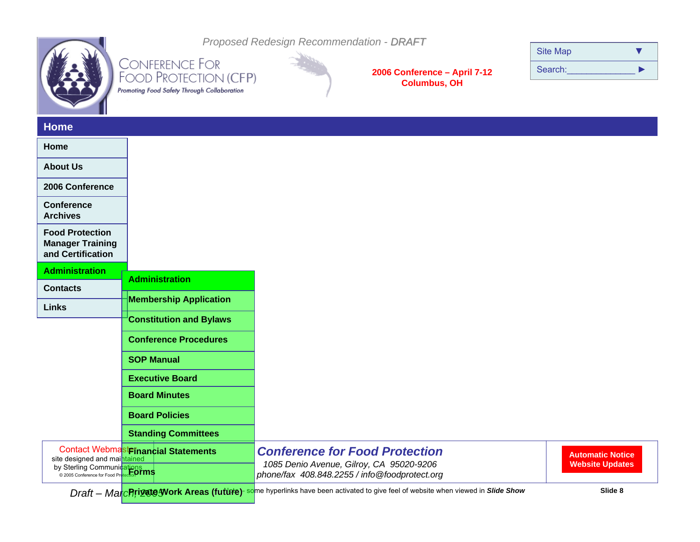

*Proposed Redesign Recommendation - DRAFT* CONFERENCE FOR<br>FOOD PROTECTION (CFP)

Promoting Food Safety Through Collaboration

**2006 Conference – April 7-12 Columbus, OH**

| <b>Site Map</b> |  |
|-----------------|--|
| Search:         |  |

#### **Home**

| Home                                                                   |                                      |                                                                                                                                    |                                                   |
|------------------------------------------------------------------------|--------------------------------------|------------------------------------------------------------------------------------------------------------------------------------|---------------------------------------------------|
| <b>About Us</b>                                                        |                                      |                                                                                                                                    |                                                   |
| 2006 Conference                                                        |                                      |                                                                                                                                    |                                                   |
| <b>Conference</b><br><b>Archives</b>                                   |                                      |                                                                                                                                    |                                                   |
| <b>Food Protection</b><br><b>Manager Training</b><br>and Certification |                                      |                                                                                                                                    |                                                   |
| <b>Administration</b>                                                  |                                      |                                                                                                                                    |                                                   |
| <b>Contacts</b>                                                        | <b>Administration</b>                |                                                                                                                                    |                                                   |
| <b>Links</b>                                                           | <b>Membership Application</b>        |                                                                                                                                    |                                                   |
|                                                                        | <b>Constitution and Bylaws</b>       |                                                                                                                                    |                                                   |
|                                                                        | <b>Conference Procedures</b>         |                                                                                                                                    |                                                   |
|                                                                        | <b>SOP Manual</b>                    |                                                                                                                                    |                                                   |
|                                                                        | <b>Executive Board</b>               |                                                                                                                                    |                                                   |
|                                                                        | <b>Board Minutes</b>                 |                                                                                                                                    |                                                   |
|                                                                        | <b>Board Policies</b>                |                                                                                                                                    |                                                   |
|                                                                        | <b>Standing Committees</b>           |                                                                                                                                    |                                                   |
| site designed and maintained<br>by Sterling Communications             | Contact Webmast Financial Statements | <b>Conference for Food Protection</b><br>1085 Denio Avenue, Gilroy, CA 95020-9206<br>phone/fax 408.848.2255 / info@foodprotect.org | <b>Automatic Notice</b><br><b>Website Updates</b> |
|                                                                        |                                      |                                                                                                                                    |                                                   |

*Draft – March, 2005* Note – some hyperlinks have been activated to give feel of website when viewed in *Slide Show* **Slide 8 Private Work Areas (future) (future)**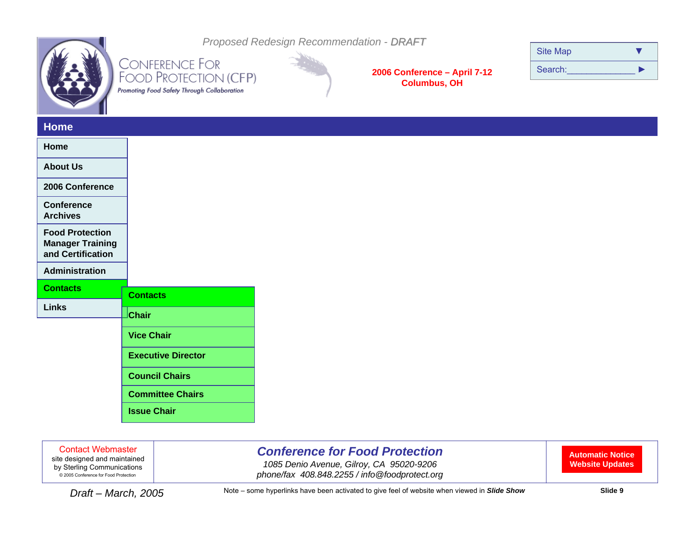

*Proposed Redesign Recommendation - DRAFT*

**CONFERENCE FOR** FOOD PROTECTION (CFP) Promoting Food Safety Through Collaboration



**2006 Conference – April 7-12 Columbus, OH**

| <b>Site Map</b> |  |
|-----------------|--|
| Search:         |  |

#### **Home**

| Home                                                                   |                           |
|------------------------------------------------------------------------|---------------------------|
| <b>About Us</b>                                                        |                           |
| 2006 Conference                                                        |                           |
| <b>Conference</b><br><b>Archives</b>                                   |                           |
| <b>Food Protection</b><br><b>Manager Training</b><br>and Certification |                           |
| Administration                                                         |                           |
| <b>Contacts</b>                                                        | <b>Contacts</b>           |
| <b>Links</b>                                                           | <b>Chair</b>              |
|                                                                        |                           |
|                                                                        | <b>Vice Chair</b>         |
|                                                                        | <b>Executive Director</b> |
|                                                                        | <b>Council Chairs</b>     |
|                                                                        | <b>Committee Chairs</b>   |
|                                                                        |                           |

Contact Webmaster

site designed and maintained by Sterling Communications © 2005 Conference for Food Protection

## *Conference for Food Protection*

*1085 Denio Avenue, Gilroy, CA 95020-9206*  2005 Conference for Food Protection *phone/fax 408.848.2255 / info@foodprotect.org*

**Automatic Notice Website Updates**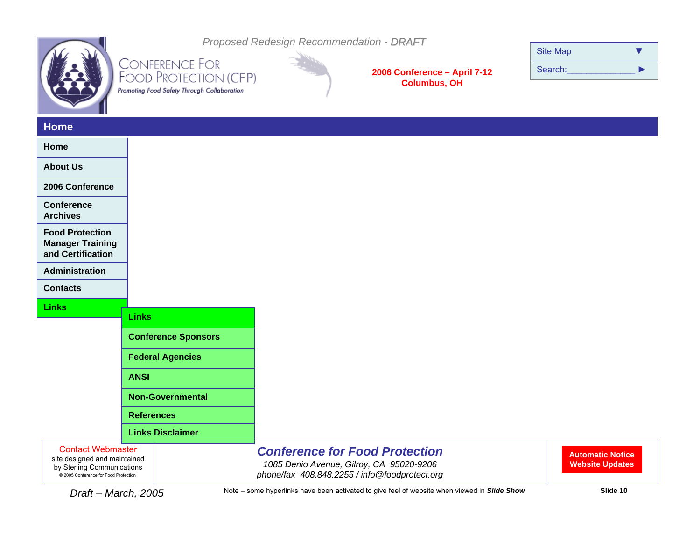|--|

Promoting Food Safety Through Collaboration

*Proposed Redesign Recommendation - DRAFT*

**2006 Conference – April 7-12 Columbus, OH**

| <b>Site Map</b> |  |
|-----------------|--|
| Search:         |  |

### **Home**

| ------                                                                                                                          |                            |                                                                                                                                    |                                                   |
|---------------------------------------------------------------------------------------------------------------------------------|----------------------------|------------------------------------------------------------------------------------------------------------------------------------|---------------------------------------------------|
| Home                                                                                                                            |                            |                                                                                                                                    |                                                   |
| <b>About Us</b>                                                                                                                 |                            |                                                                                                                                    |                                                   |
| 2006 Conference                                                                                                                 |                            |                                                                                                                                    |                                                   |
| <b>Conference</b><br><b>Archives</b>                                                                                            |                            |                                                                                                                                    |                                                   |
| <b>Food Protection</b><br><b>Manager Training</b><br>and Certification                                                          |                            |                                                                                                                                    |                                                   |
| Administration                                                                                                                  |                            |                                                                                                                                    |                                                   |
| <b>Contacts</b>                                                                                                                 |                            |                                                                                                                                    |                                                   |
| <b>Links</b>                                                                                                                    |                            |                                                                                                                                    |                                                   |
|                                                                                                                                 | <b>Links</b>               |                                                                                                                                    |                                                   |
|                                                                                                                                 | <b>Conference Sponsors</b> |                                                                                                                                    |                                                   |
|                                                                                                                                 | <b>Federal Agencies</b>    |                                                                                                                                    |                                                   |
|                                                                                                                                 | <b>ANSI</b>                |                                                                                                                                    |                                                   |
|                                                                                                                                 | <b>Non-Governmental</b>    |                                                                                                                                    |                                                   |
|                                                                                                                                 | <b>References</b>          |                                                                                                                                    |                                                   |
|                                                                                                                                 | <b>Links Disclaimer</b>    |                                                                                                                                    |                                                   |
| <b>Contact Webmaster</b><br>site designed and maintained<br>by Sterling Communications<br>© 2005 Conference for Food Protection |                            | <b>Conference for Food Protection</b><br>1085 Denio Avenue, Gilroy, CA 95020-9206<br>phone/fax 408.848.2255 / info@foodprotect.org | <b>Automatic Notice</b><br><b>Website Updates</b> |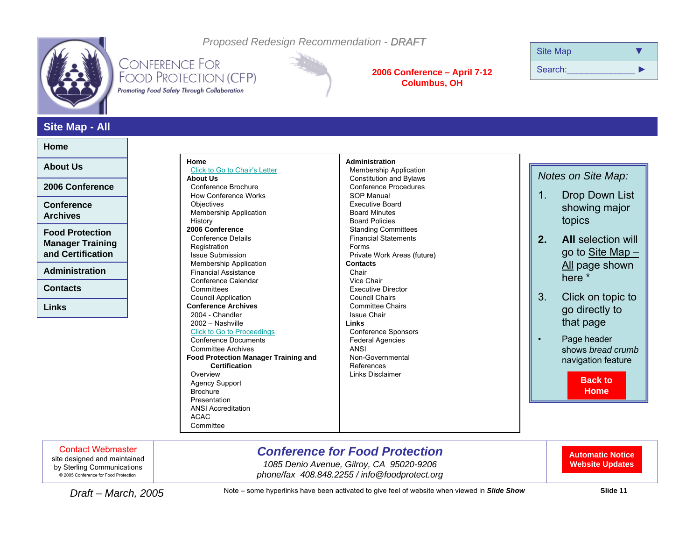<span id="page-10-0"></span>

*Proposed Redesign Recommendation - DRAFT*

## **CONFERENCE FOR** FOOD PROTECTION (CFP) Promoting Food Safety Through Collaboration



#### **2006 Conference – April 7-12 Columbus, OH**

| <b>Site Map</b> |  |
|-----------------|--|
| Search:         |  |

### **Site Map - All**

#### **Home**

**About Us**

**2006 Conference**

**Conference Archives**

**Food Protection Manager Training and Certification**

**Administration**

**Contacts**

**Links**

| Home                                                                                                                                                                                                                                                                                                                                                                                       | Administration                                                                                                                                                                                  |
|--------------------------------------------------------------------------------------------------------------------------------------------------------------------------------------------------------------------------------------------------------------------------------------------------------------------------------------------------------------------------------------------|-------------------------------------------------------------------------------------------------------------------------------------------------------------------------------------------------|
| Click to Go to Chair's Letter                                                                                                                                                                                                                                                                                                                                                              | <b>Membership Application</b>                                                                                                                                                                   |
| <b>About Us</b>                                                                                                                                                                                                                                                                                                                                                                            | <b>Constitution and Bylaws</b>                                                                                                                                                                  |
| Conference Brochure                                                                                                                                                                                                                                                                                                                                                                        | <b>Conference Procedures</b>                                                                                                                                                                    |
| <b>How Conference Works</b>                                                                                                                                                                                                                                                                                                                                                                | <b>SOP Manual</b>                                                                                                                                                                               |
| Objectives                                                                                                                                                                                                                                                                                                                                                                                 | <b>Executive Board</b>                                                                                                                                                                          |
| <b>Membership Application</b>                                                                                                                                                                                                                                                                                                                                                              | <b>Board Minutes</b>                                                                                                                                                                            |
| History                                                                                                                                                                                                                                                                                                                                                                                    | <b>Board Policies</b>                                                                                                                                                                           |
| 2006 Conference                                                                                                                                                                                                                                                                                                                                                                            | <b>Standing Committees</b>                                                                                                                                                                      |
| Conference Details                                                                                                                                                                                                                                                                                                                                                                         | <b>Financial Statements</b>                                                                                                                                                                     |
| Registration                                                                                                                                                                                                                                                                                                                                                                               | Forms                                                                                                                                                                                           |
| <b>Issue Submission</b>                                                                                                                                                                                                                                                                                                                                                                    | Private Work Areas (future)                                                                                                                                                                     |
| <b>Membership Application</b>                                                                                                                                                                                                                                                                                                                                                              | <b>Contacts</b>                                                                                                                                                                                 |
| <b>Financial Assistance</b>                                                                                                                                                                                                                                                                                                                                                                | Chair                                                                                                                                                                                           |
| <b>Council Application</b><br><b>Conference Archives</b><br>2004 - Chandler<br>2002 - Nashville<br><b>Click to Go to Proceedings</b><br>Conference Documents<br><b>Committee Archives</b><br><b>Food Protection Manager Training and</b><br>Certification<br>Overview<br><b>Agency Support</b><br><b>Brochure</b><br>Presentation<br><b>ANSI Accreditation</b><br><b>ACAC</b><br>Committee | Council Chairs<br><b>Committee Chairs</b><br><b>Issue Chair</b><br>Links<br>Conference Sponsors<br><b>Federal Agencies</b><br><b>ANSI</b><br>Non-Governmental<br>References<br>Links Disclaimer |

#### *Notes on Site Map:*

- 1. Drop Down List showing major topics
- **2.** All selection will go to Site Map – <u>All</u> page shown here \*
- 3. Click on topic to go directly to that page

•

 Page header shows *bread crumb* navigation feature

> **[Back to](#page-1-0)Home**

Contact Webmaster

site designed and maintained by Sterling Communications © 2005 Conference for Food Protection

## *Conference for Food Protection*

*1085 Denio Avenue, Gilroy, CA 95020-9206*  2005 Conference for Food Protection *phone/fax 408.848.2255 / info@foodprotect.org*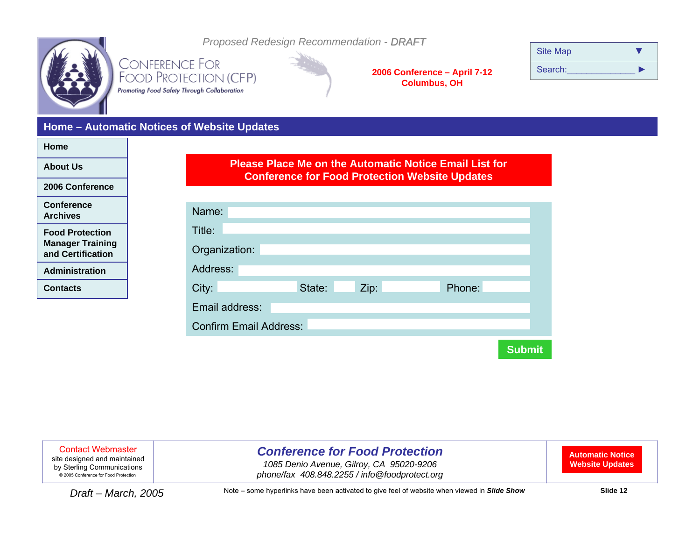<span id="page-11-0"></span>

*Proposed Redesign Recommendation - DRAFT*

**CONFERENCE FOR** FOOD PROTECTION (CFP) Promoting Food Safety Through Collaboration

**2006 Conference – April 7-12 Columbus, OH**

| <b>Site Map</b> |  |
|-----------------|--|
| Search:         |  |

### **Home – Automatic Notices of Website Updates**

| Home                                              |
|---------------------------------------------------|
| <b>About Us</b>                                   |
| 2006 Conference                                   |
| <b>Conference</b><br><b>Archives</b>              |
| <b>Food Protection</b><br><b>Manager Training</b> |

| <b>Manager Training</b> |  |
|-------------------------|--|
| and Certification       |  |

**Administration**

**Contacts**

### **Please Place Me on the Automatic Notice Email List for Conference for Food Protection Website Updates**

| Name:                         |        |      |        |               |  |
|-------------------------------|--------|------|--------|---------------|--|
| Title:                        |        |      |        |               |  |
| Organization:                 |        |      |        |               |  |
| Address:                      |        |      |        |               |  |
| City:                         | State: | Zip: | Phone: |               |  |
| Email address:                |        |      |        |               |  |
| <b>Confirm Email Address:</b> |        |      |        |               |  |
|                               |        |      |        |               |  |
|                               |        |      |        | <b>Submit</b> |  |

Contact Webmaster

site designed and maintained by Sterling Communications © 2005 Conference for Food Protection

## *Conference for Food Protection*

*1085 Denio Avenue, Gilroy, CA 95020-9206*  2005 Conference for Food Protection *phone/fax 408.848.2255 / info@foodprotect.org*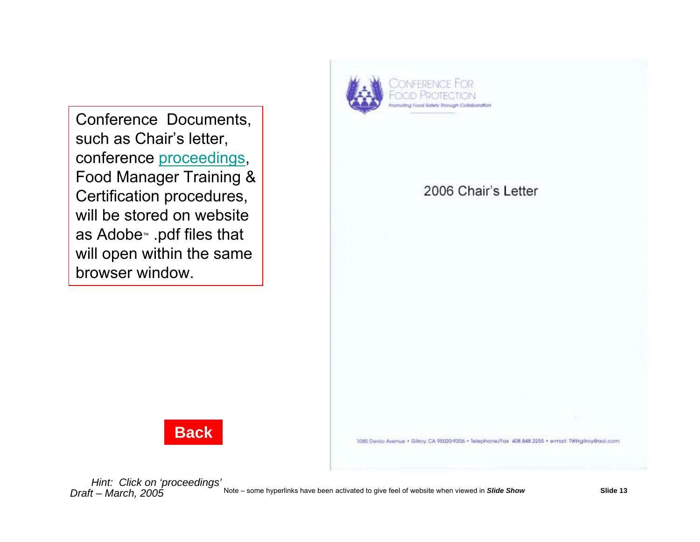

<span id="page-12-0"></span>Conference Documents, such as Chair's letter, conference [proceedings](#page-13-0), Food Manager Training & Certification procedures, will be stored on websiteas Adobe™ .pdf files that will open within the same browser window.





1085 Denio Avenue · Gilroy, CA 95020-9206 · Telephone/Fax 408.848.2255 · e-mail: TWHgliroy@aol.com

*Hint: Click on 'proceedings'*